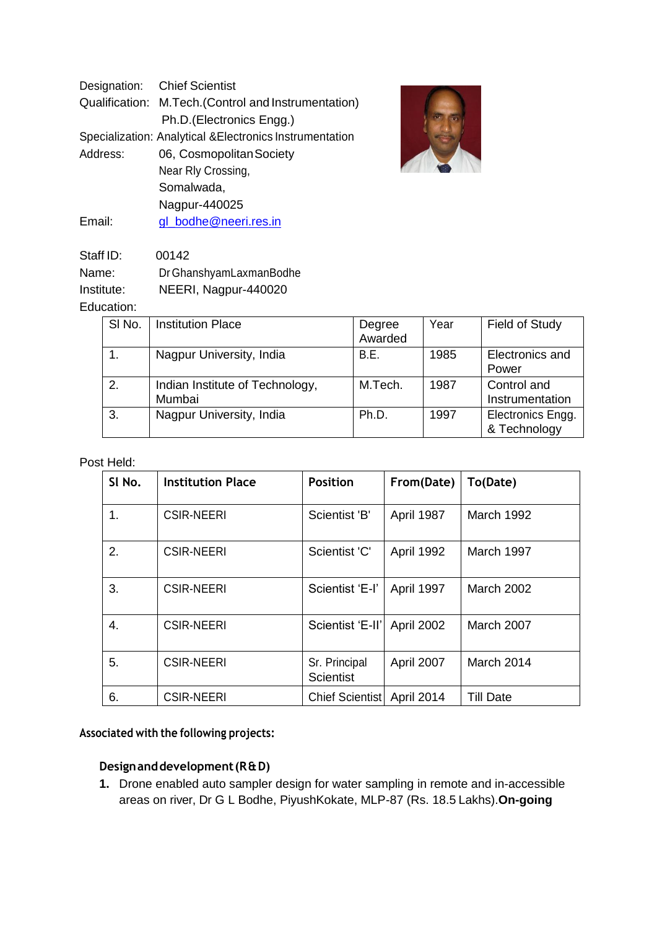|                                                          | Designation: Chief Scientist                         |  |  |
|----------------------------------------------------------|------------------------------------------------------|--|--|
|                                                          | Qualification: M.Tech. (Control and Instrumentation) |  |  |
|                                                          | Ph.D.(Electronics Engg.)                             |  |  |
| Specialization: Analytical & Electronics Instrumentation |                                                      |  |  |
| Address:                                                 | 06, Cosmopolitan Society                             |  |  |
|                                                          | Near Rly Crossing,                                   |  |  |
|                                                          | Somalwada,                                           |  |  |
|                                                          | Nagpur-440025                                        |  |  |
| Email:                                                   | gl_bodhe@neeri.res.in                                |  |  |



| Staff ID:  | 00142                   |
|------------|-------------------------|
| Name:      | Dr GhanshyamLaxmanBodhe |
| Institute: | NEERI, Nagpur-440020    |
| Education: |                         |

| SI <sub>No.</sub> | <b>Institution Place</b>                  | Degree<br>Awarded | Year | <b>Field of Study</b>             |
|-------------------|-------------------------------------------|-------------------|------|-----------------------------------|
|                   | Nagpur University, India                  | B.E.              | 1985 | Electronics and<br>Power          |
| 2.                | Indian Institute of Technology,<br>Mumbai | M.Tech.           | 1987 | Control and<br>Instrumentation    |
| 3.                | Nagpur University, India                  | Ph.D.             | 1997 | Electronics Engg.<br>& Technology |

#### Post Held:

| SI No. | <b>Institution Place</b> | <b>Position</b>                   | From(Date)        | To(Date)          |
|--------|--------------------------|-----------------------------------|-------------------|-------------------|
| 1.     | <b>CSIR-NEERI</b>        | Scientist 'B'                     | April 1987        | March 1992        |
| 2.     | <b>CSIR-NEERI</b>        | Scientist 'C'                     | April 1992        | March 1997        |
| 3.     | <b>CSIR-NEERI</b>        | Scientist 'E-I'                   | April 1997        | <b>March 2002</b> |
| 4.     | <b>CSIR-NEERI</b>        | Scientist 'E-II'                  | <b>April 2002</b> | <b>March 2007</b> |
| 5.     | <b>CSIR-NEERI</b>        | Sr. Principal<br><b>Scientist</b> | April 2007        | March 2014        |
| 6.     | <b>CSIR-NEERI</b>        | <b>Chief Scientist</b>            | April 2014        | <b>Till Date</b>  |

# **Associated with the following projects:**

# **Designanddevelopment(R&D)**

**1.** Drone enabled auto sampler design for water sampling in remote and in-accessible areas on river, Dr G L Bodhe, PiyushKokate, MLP-87 (Rs. 18.5 Lakhs).**On-going**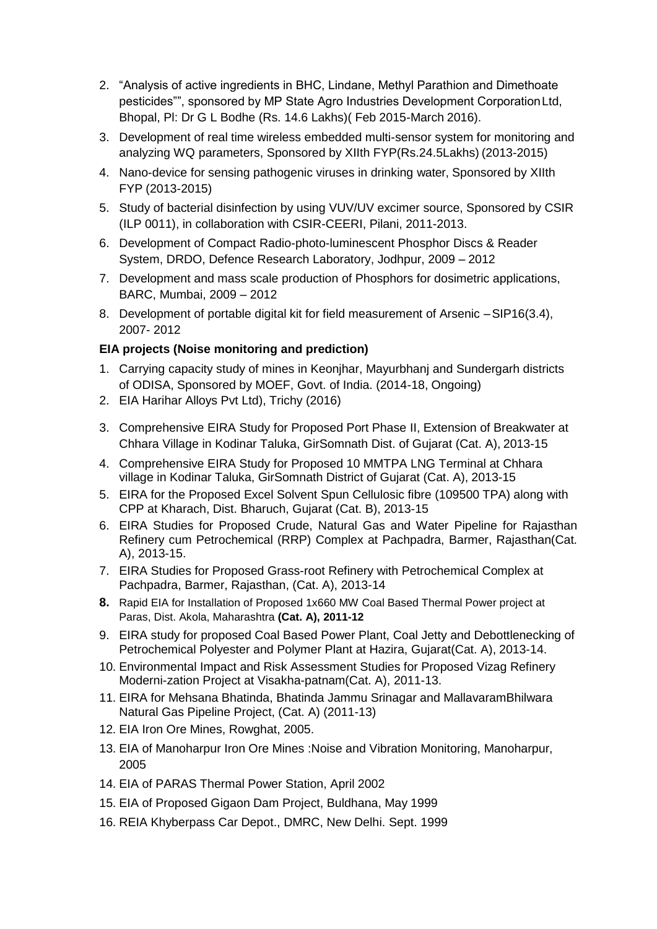- 2. "Analysis of active ingredients in BHC, Lindane, Methyl Parathion and Dimethoate pesticides"", sponsored by MP State Agro Industries Development CorporationLtd, Bhopal, Pl: Dr G L Bodhe (Rs. 14.6 Lakhs)( Feb 2015-March 2016).
- 3. Development of real time wireless embedded multi-sensor system for monitoring and analyzing WQ parameters, Sponsored by XIIth FYP(Rs.24.5Lakhs) (2013-2015)
- 4. Nano-device for sensing pathogenic viruses in drinking water, Sponsored by XIIth FYP (2013-2015)
- 5. Study of bacterial disinfection by using VUV/UV excimer source, Sponsored by CSIR (ILP 0011), in collaboration with CSIR-CEERI, Pilani, 2011-2013.
- 6. Development of Compact Radio-photo-luminescent Phosphor Discs & Reader System, DRDO, Defence Research Laboratory, Jodhpur, 2009 – 2012
- 7. Development and mass scale production of Phosphors for dosimetric applications, BARC, Mumbai, 2009 – 2012
- 8. Development of portable digital kit for field measurement of Arsenic –SIP16(3.4), 2007- 2012

## **EIA projects (Noise monitoring and prediction)**

- 1. Carrying capacity study of mines in Keonjhar, Mayurbhanj and Sundergarh districts of ODISA, Sponsored by MOEF, Govt. of India. (2014-18, Ongoing)
- 2. EIA Harihar Alloys Pvt Ltd), Trichy (2016)
- 3. Comprehensive EIRA Study for Proposed Port Phase II, Extension of Breakwater at Chhara Village in Kodinar Taluka, GirSomnath Dist. of Gujarat (Cat. A), 2013-15
- 4. Comprehensive EIRA Study for Proposed 10 MMTPA LNG Terminal at Chhara village in Kodinar Taluka, GirSomnath District of Gujarat (Cat. A), 2013-15
- 5. EIRA for the Proposed Excel Solvent Spun Cellulosic fibre (109500 TPA) along with CPP at Kharach, Dist. Bharuch, Gujarat (Cat. B), 2013-15
- 6. EIRA Studies for Proposed Crude, Natural Gas and Water Pipeline for Rajasthan Refinery cum Petrochemical (RRP) Complex at Pachpadra, Barmer, Rajasthan(Cat. A), 2013-15.
- 7. EIRA Studies for Proposed Grass-root Refinery with Petrochemical Complex at Pachpadra, Barmer, Rajasthan, (Cat. A), 2013-14
- **8.** Rapid EIA for Installation of Proposed 1x660 MW Coal Based Thermal Power project at Paras, Dist. Akola, Maharashtra **(Cat. A), 2011-12**
- 9. EIRA study for proposed Coal Based Power Plant, Coal Jetty and Debottlenecking of Petrochemical Polyester and Polymer Plant at Hazira, Gujarat(Cat. A), 2013-14.
- 10. Environmental Impact and Risk Assessment Studies for Proposed Vizag Refinery Moderni-zation Project at Visakha-patnam(Cat. A), 2011-13.
- 11. EIRA for Mehsana Bhatinda, Bhatinda Jammu Srinagar and MallavaramBhilwara Natural Gas Pipeline Project, (Cat. A) (2011-13)
- 12. EIA Iron Ore Mines, Rowghat, 2005.
- 13. EIA of Manoharpur Iron Ore Mines :Noise and Vibration Monitoring, Manoharpur, 2005
- 14. EIA of PARAS Thermal Power Station, April 2002
- 15. EIA of Proposed Gigaon Dam Project, Buldhana, May 1999
- 16. REIA Khyberpass Car Depot., DMRC, New Delhi. Sept. 1999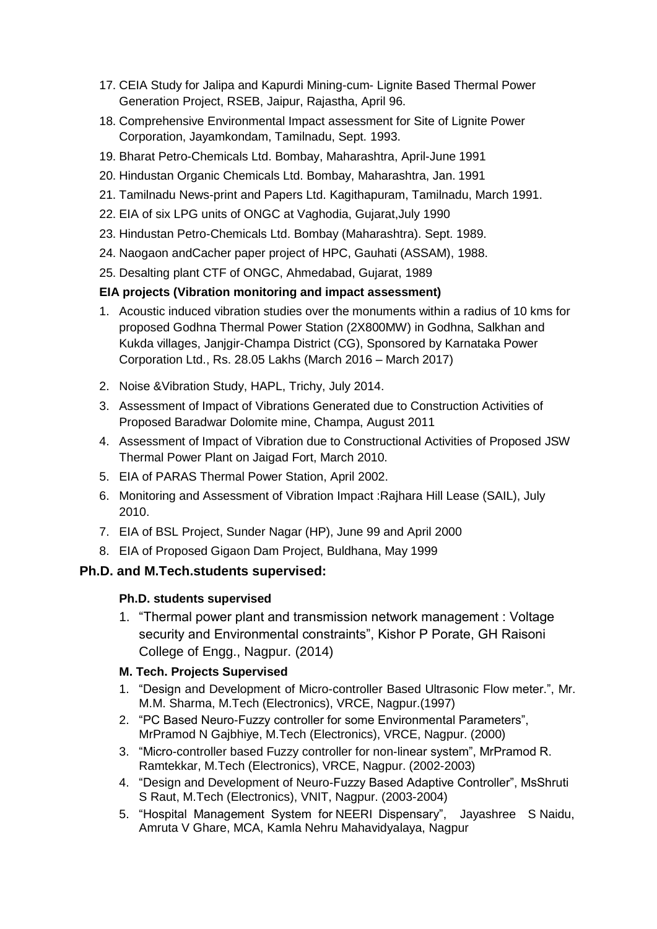- 17. CEIA Study for Jalipa and Kapurdi Mining-cum- Lignite Based Thermal Power Generation Project, RSEB, Jaipur, Rajastha, April 96.
- 18. Comprehensive Environmental Impact assessment for Site of Lignite Power Corporation, Jayamkondam, Tamilnadu, Sept. 1993.
- 19. Bharat Petro-Chemicals Ltd. Bombay, Maharashtra, April-June 1991
- 20. Hindustan Organic Chemicals Ltd. Bombay, Maharashtra, Jan. 1991
- 21. Tamilnadu News-print and Papers Ltd. Kagithapuram, Tamilnadu, March 1991.
- 22. EIA of six LPG units of ONGC at Vaghodia, Gujarat,July 1990
- 23. Hindustan Petro-Chemicals Ltd. Bombay (Maharashtra). Sept. 1989.
- 24. Naogaon andCacher paper project of HPC, Gauhati (ASSAM), 1988.
- 25. Desalting plant CTF of ONGC, Ahmedabad, Gujarat, 1989

# **EIA projects (Vibration monitoring and impact assessment)**

- 1. Acoustic induced vibration studies over the monuments within a radius of 10 kms for proposed Godhna Thermal Power Station (2X800MW) in Godhna, Salkhan and Kukda villages, Janjgir-Champa District (CG), Sponsored by Karnataka Power Corporation Ltd., Rs. 28.05 Lakhs (March 2016 – March 2017)
- 2. Noise &Vibration Study, HAPL, Trichy, July 2014.
- 3. Assessment of Impact of Vibrations Generated due to Construction Activities of Proposed Baradwar Dolomite mine, Champa, August 2011
- 4. Assessment of Impact of Vibration due to Constructional Activities of Proposed JSW Thermal Power Plant on Jaigad Fort, March 2010.
- 5. EIA of PARAS Thermal Power Station, April 2002.
- 6. Monitoring and Assessment of Vibration Impact :Rajhara Hill Lease (SAIL), July 2010.
- 7. EIA of BSL Project, Sunder Nagar (HP), June 99 and April 2000
- 8. EIA of Proposed Gigaon Dam Project, Buldhana, May 1999

# **Ph.D. and M.Tech.students supervised:**

## **Ph.D. students supervised**

1. "Thermal power plant and transmission network management : Voltage security and Environmental constraints", Kishor P Porate, GH Raisoni College of Engg., Nagpur. (2014)

# **M. Tech. Projects Supervised**

- 1. "Design and Development of Micro-controller Based Ultrasonic Flow meter.", Mr. M.M. Sharma, M.Tech (Electronics), VRCE, Nagpur.(1997)
- 2. "PC Based Neuro-Fuzzy controller for some Environmental Parameters", MrPramod N Gajbhiye, M.Tech (Electronics), VRCE, Nagpur. (2000)
- 3. "Micro-controller based Fuzzy controller for non-linear system", MrPramod R. Ramtekkar, M.Tech (Electronics), VRCE, Nagpur. (2002-2003)
- 4. "Design and Development of Neuro-Fuzzy Based Adaptive Controller", MsShruti S Raut, M.Tech (Electronics), VNIT, Nagpur. (2003-2004)
- 5. "Hospital Management System for NEERI Dispensary", Jayashree S Naidu, Amruta V Ghare, MCA, Kamla Nehru Mahavidyalaya, Nagpur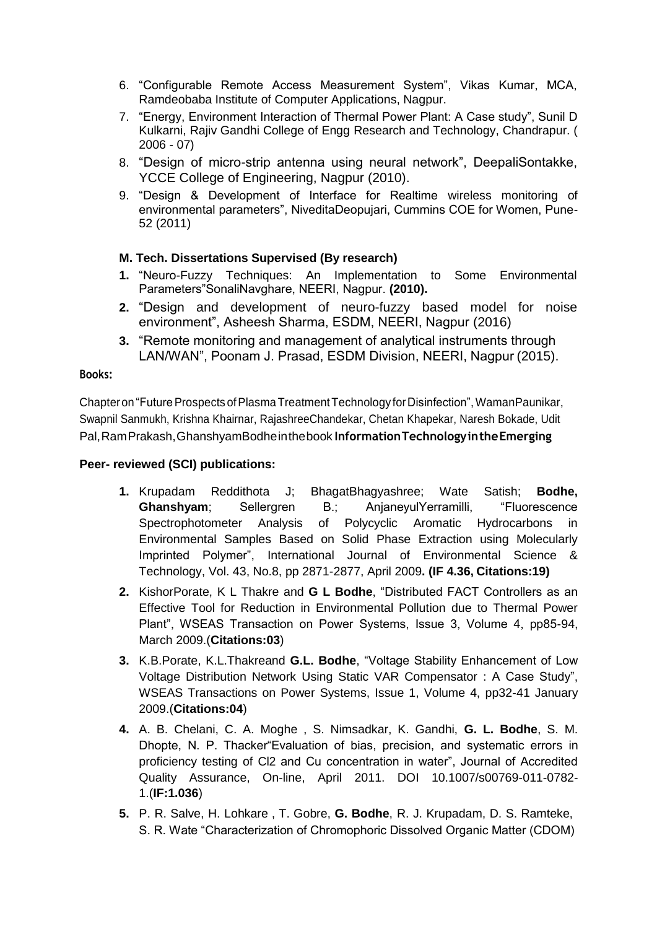- 6. "Configurable Remote Access Measurement System", Vikas Kumar, MCA, Ramdeobaba Institute of Computer Applications, Nagpur.
- 7. "Energy, Environment Interaction of Thermal Power Plant: A Case study", Sunil D Kulkarni, Rajiv Gandhi College of Engg Research and Technology, Chandrapur. ( 2006 - 07)
- 8. "Design of micro-strip antenna using neural network", DeepaliSontakke, YCCE College of Engineering, Nagpur (2010).
- 9. "Design & Development of Interface for Realtime wireless monitoring of environmental parameters", NiveditaDeopujari, Cummins COE for Women, Pune-52 (2011)

### **M. Tech. Dissertations Supervised (By research)**

- **1.** "Neuro-Fuzzy Techniques: An Implementation to Some Environmental Parameters"SonaliNavghare, NEERI, Nagpur. **(2010).**
- **2.** "Design and development of neuro-fuzzy based model for noise environment", Asheesh Sharma, ESDM, NEERI, Nagpur (2016)
- **3.** "Remote monitoring and management of analytical instruments through LAN/WAN", Poonam J. Prasad, ESDM Division, NEERI, Nagpur (2015).

#### **Books:**

Chapter on "Future Prospects of Plasma Treatment Technology for Disinfection", WamanPaunikar, Swapnil Sanmukh, Krishna Khairnar, RajashreeChandekar, Chetan Khapekar, Naresh Bokade, Udit Pal,RamPrakash,GhanshyamBodheinthebook **InformationTechnologyintheEmerging**

### **Peer- reviewed (SCI) publications:**

- **1.** Krupadam Reddithota J; BhagatBhagyashree; Wate Satish; **Bodhe, Ghanshyam**; Sellergren B.; AnjaneyulYerramilli, "Fluorescence Spectrophotometer Analysis of Polycyclic Aromatic Hydrocarbons in Environmental Samples Based on Solid Phase Extraction using Molecularly Imprinted Polymer", International Journal of Environmental Science & Technology, Vol. 43, No.8, pp 2871-2877, April 2009**. (IF 4.36, Citations:19)**
- **2.** KishorPorate, K L Thakre and **G L Bodhe**, "Distributed FACT Controllers as an Effective Tool for Reduction in Environmental Pollution due to Thermal Power Plant", WSEAS Transaction on Power Systems, Issue 3, Volume 4, pp85-94, March 2009.(**Citations:03**)
- **3.** K.B.Porate, K.L.Thakreand **G.L. Bodhe**, "Voltage Stability Enhancement of Low Voltage Distribution Network Using Static VAR Compensator : A Case Study", WSEAS Transactions on Power Systems, Issue 1, Volume 4, pp32-41 January 2009.(**Citations:04**)
- **4.** A. B. Chelani, C. A. Moghe , S. Nimsadkar, K. Gandhi, **G. L. Bodhe**, S. M. Dhopte, N. P. Thacker"Evaluation of bias, precision, and systematic errors in proficiency testing of Cl2 and Cu concentration in water", Journal of Accredited Quality Assurance, On-line, April 2011. DOI 10.1007/s00769-011-0782- 1.(**IF:1.036**)
- **5.** P. R. Salve, H. Lohkare , T. Gobre, **G. Bodhe**, R. J. Krupadam, D. S. Ramteke, S. R. Wate "Characterization of Chromophoric Dissolved Organic Matter (CDOM)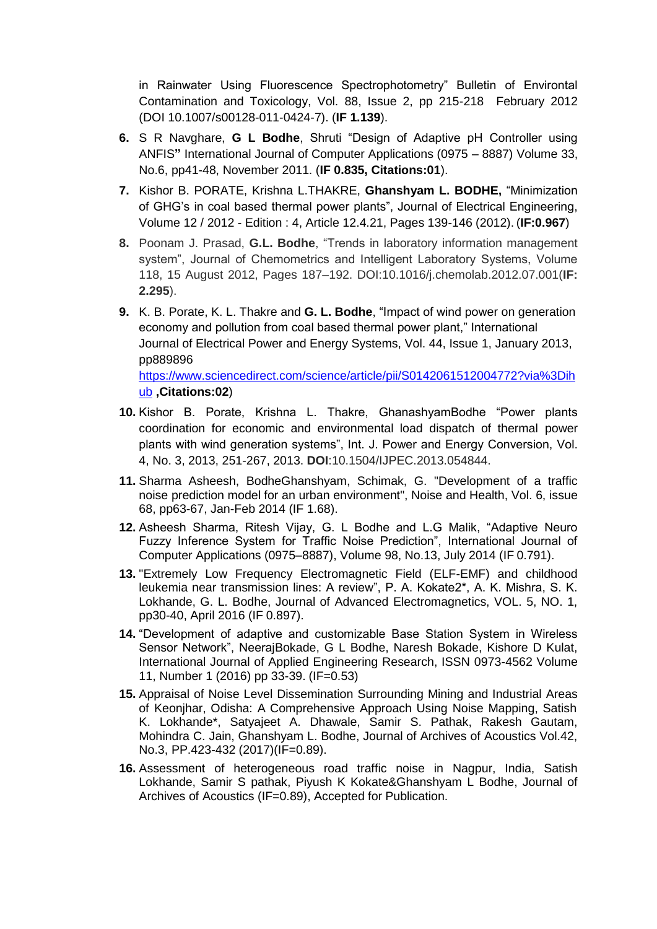in Rainwater Using Fluorescence Spectrophotometry" Bulletin of Environtal Contamination and Toxicology, Vol. 88, Issue 2, pp 215-218 February 2012 (DOI 10.1007/s00128-011-0424-7). (**IF 1.139**).

- **6.** S R Navghare, **G L Bodhe**, Shruti "Design of Adaptive pH Controller using ANFIS**"** International Journal of Computer Applications (0975 – 8887) Volume 33, No.6, pp41-48, November 2011. (**IF 0.835, Citations:01**).
- **7.** Kishor B. PORATE, Krishna L.THAKRE, **Ghanshyam L. BODHE,** "Minimization of GHG's in coal based thermal power plants", Journal of Electrical Engineering, Volume 12 / 2012 - Edition : 4, Article 12.4.21, Pages 139-146 (2012). (**IF:0.967**)
- **8.** Poonam J. Prasad, **G.L. Bodhe**, "Trends in laboratory information management system", Journal of Chemometrics and Intelligent Laboratory Systems, Volume 118, 15 August 2012, Pages 187–192. DOI:10.1016/j.chemolab.2012.07.001(**IF: 2.295**).
- **9.** K. B. Porate, K. L. Thakre and **G. L. Bodhe**, "Impact of wind power on generation economy and pollution from coal based thermal power plant," International Journal of Electrical Power and Energy Systems, Vol. 44, Issue 1, January 2013, pp889896

https://www.sciencedirect.com/science/article/pii/S0142061512004772?via%3Dih ub **,Citations:02**)

- **10.** Kishor B. Porate, Krishna L. Thakre, GhanashyamBodhe "Power plants coordination for economic and environmental load dispatch of thermal power plants with wind generation systems", Int. J. Power and Energy Conversion, Vol. 4, No. 3, 2013, 251-267, 2013. **DOI**:10.1504/IJPEC.2013.054844.
- **11.** Sharma Asheesh, BodheGhanshyam, Schimak, G. "Development of a traffic noise prediction model for an urban environment", Noise and Health, Vol. 6, issue 68, pp63-67, Jan-Feb 2014 (IF 1.68).
- **12.** Asheesh Sharma, Ritesh Vijay, G. L Bodhe and L.G Malik, "Adaptive Neuro Fuzzy Inference System for Traffic Noise Prediction", International Journal of Computer Applications (0975–8887), Volume 98, No.13, July 2014 (IF 0.791).
- **13.** "Extremely Low Frequency Electromagnetic Field (ELF-EMF) and childhood leukemia near transmission lines: A review", P. A. Kokate2\*, A. K. Mishra, S. K. Lokhande, G. L. Bodhe, Journal of Advanced Electromagnetics, VOL. 5, NO. 1, pp30-40, April 2016 (IF 0.897).
- **14.** "Development of adaptive and customizable Base Station System in Wireless Sensor Network", NeerajBokade, G L Bodhe, Naresh Bokade, Kishore D Kulat, International Journal of Applied Engineering Research, ISSN 0973-4562 Volume 11, Number 1 (2016) pp 33-39. (IF=0.53)
- **15.** Appraisal of Noise Level Dissemination Surrounding Mining and Industrial Areas of Keonjhar, Odisha: A Comprehensive Approach Using Noise Mapping, Satish K. Lokhande\*, Satyajeet A. Dhawale, Samir S. Pathak, Rakesh Gautam, Mohindra C. Jain, Ghanshyam L. Bodhe, Journal of Archives of Acoustics Vol.42, No.3, PP.423-432 (2017)(IF=0.89).
- **16.** Assessment of heterogeneous road traffic noise in Nagpur, India, Satish Lokhande, Samir S pathak, Piyush K Kokate&Ghanshyam L Bodhe, Journal of Archives of Acoustics (IF=0.89), Accepted for Publication.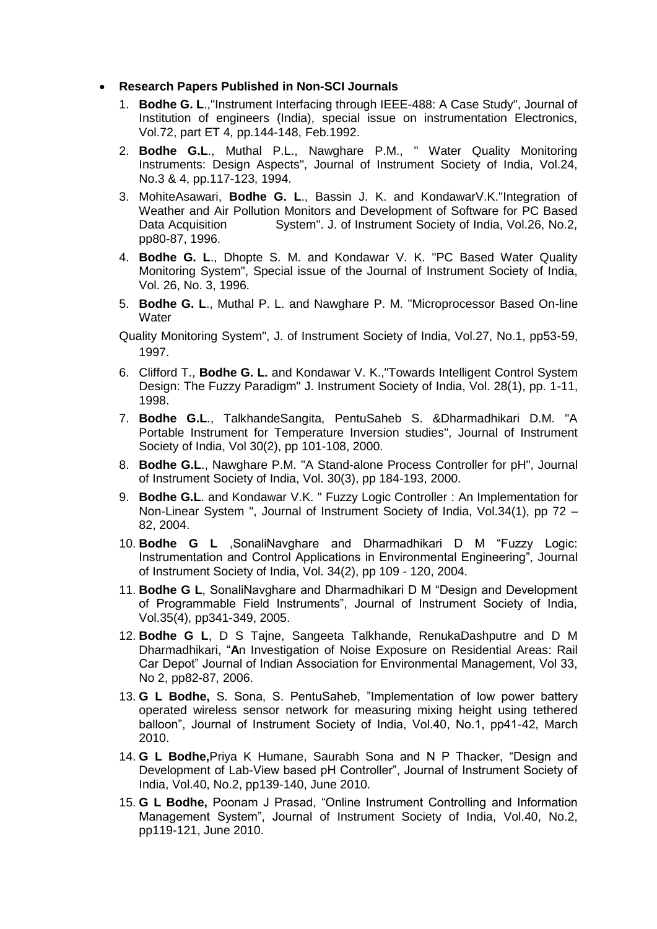#### • **Research Papers Published in Non-SCI Journals**

- 1. **Bodhe G. L**.,"Instrument Interfacing through IEEE-488: A Case Study", Journal of Institution of engineers (India), special issue on instrumentation Electronics, Vol.72, part ET 4, pp.144-148, Feb.1992.
- 2. **Bodhe G.L**., Muthal P.L., Nawghare P.M., " Water Quality Monitoring Instruments: Design Aspects", Journal of Instrument Society of India, Vol.24, No.3 & 4, pp.117-123, 1994.
- 3. MohiteAsawari, **Bodhe G. L**., Bassin J. K. and KondawarV.K."Integration of Weather and Air Pollution Monitors and Development of Software for PC Based Data Acquisition System". J. of Instrument Society of India, Vol.26, No.2, pp80-87, 1996.
- 4. **Bodhe G. L**., Dhopte S. M. and Kondawar V. K. "PC Based Water Quality Monitoring System", Special issue of the Journal of Instrument Society of India, Vol. 26, No. 3, 1996.
- 5. **Bodhe G. L**., Muthal P. L. and Nawghare P. M. "Microprocessor Based On-line **Water**

Quality Monitoring System", J. of Instrument Society of India, Vol.27, No.1, pp53-59, 1997.

- 6. Clifford T., **Bodhe G. L.** and Kondawar V. K.,"Towards Intelligent Control System Design: The Fuzzy Paradigm" J. Instrument Society of India, Vol. 28(1), pp. 1-11, 1998.
- 7. **Bodhe G.L**., TalkhandeSangita, PentuSaheb S. &Dharmadhikari D.M. "A Portable Instrument for Temperature Inversion studies", Journal of Instrument Society of India, Vol 30(2), pp 101-108, 2000.
- 8. **Bodhe G.L**., Nawghare P.M. "A Stand-alone Process Controller for pH", Journal of Instrument Society of India, Vol. 30(3), pp 184-193, 2000.
- 9. **Bodhe G.L**. and Kondawar V.K. " Fuzzy Logic Controller : An Implementation for Non-Linear System ", Journal of Instrument Society of India, Vol.34(1), pp 72 – 82, 2004.
- 10. **Bodhe G L** ,SonaliNavghare and Dharmadhikari D M "Fuzzy Logic: Instrumentation and Control Applications in Environmental Engineering", Journal of Instrument Society of India, Vol. 34(2), pp 109 - 120, 2004.
- 11. **Bodhe G L**, SonaliNavghare and Dharmadhikari D M "Design and Development of Programmable Field Instruments", Journal of Instrument Society of India, Vol.35(4), pp341-349, 2005.
- 12. **Bodhe G L**, D S Tajne, Sangeeta Talkhande, RenukaDashputre and D M Dharmadhikari, "**A**n Investigation of Noise Exposure on Residential Areas: Rail Car Depot" Journal of Indian Association for Environmental Management, Vol 33, No 2, pp82-87, 2006.
- 13. **G L Bodhe,** S. Sona, S. PentuSaheb, "Implementation of low power battery operated wireless sensor network for measuring mixing height using tethered balloon", Journal of Instrument Society of India, Vol.40, No.1, pp41-42, March 2010.
- 14. **G L Bodhe,**Priya K Humane, Saurabh Sona and N P Thacker, "Design and Development of Lab-View based pH Controller", Journal of Instrument Society of India, Vol.40, No.2, pp139-140, June 2010.
- 15. **G L Bodhe,** Poonam J Prasad, "Online Instrument Controlling and Information Management System", Journal of Instrument Society of India, Vol.40, No.2, pp119-121, June 2010.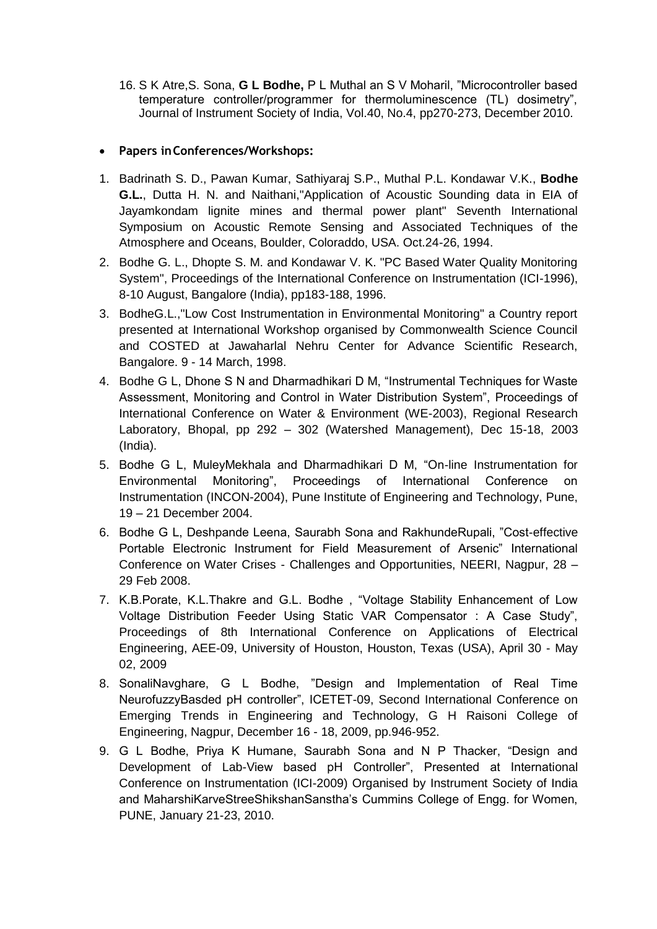16. S K Atre,S. Sona, **G L Bodhe,** P L Muthal an S V Moharil, "Microcontroller based temperature controller/programmer for thermoluminescence (TL) dosimetry", Journal of Instrument Society of India, Vol.40, No.4, pp270-273, December 2010.

### • **Papers inConferences/Workshops:**

- 1. Badrinath S. D., Pawan Kumar, Sathiyaraj S.P., Muthal P.L. Kondawar V.K., **Bodhe G.L.**, Dutta H. N. and Naithani,"Application of Acoustic Sounding data in EIA of Jayamkondam lignite mines and thermal power plant" Seventh International Symposium on Acoustic Remote Sensing and Associated Techniques of the Atmosphere and Oceans, Boulder, Coloraddo, USA. Oct.24-26, 1994.
- 2. Bodhe G. L., Dhopte S. M. and Kondawar V. K. "PC Based Water Quality Monitoring System", Proceedings of the International Conference on Instrumentation (ICI-1996), 8-10 August, Bangalore (India), pp183-188, 1996.
- 3. BodheG.L.,"Low Cost Instrumentation in Environmental Monitoring" a Country report presented at International Workshop organised by Commonwealth Science Council and COSTED at Jawaharlal Nehru Center for Advance Scientific Research, Bangalore. 9 - 14 March, 1998.
- 4. Bodhe G L, Dhone S N and Dharmadhikari D M, "Instrumental Techniques for Waste Assessment, Monitoring and Control in Water Distribution System", Proceedings of International Conference on Water & Environment (WE-2003), Regional Research Laboratory, Bhopal, pp 292 – 302 (Watershed Management), Dec 15-18, 2003 (India).
- 5. Bodhe G L, MuleyMekhala and Dharmadhikari D M, "On-line Instrumentation for Environmental Monitoring", Proceedings of International Conference on Instrumentation (INCON-2004), Pune Institute of Engineering and Technology, Pune, 19 – 21 December 2004.
- 6. Bodhe G L, Deshpande Leena, Saurabh Sona and RakhundeRupali, "Cost-effective Portable Electronic Instrument for Field Measurement of Arsenic" International Conference on Water Crises - Challenges and Opportunities, NEERI, Nagpur, 28 – 29 Feb 2008.
- 7. K.B.Porate, K.L.Thakre and G.L. Bodhe , "Voltage Stability Enhancement of Low Voltage Distribution Feeder Using Static VAR Compensator : A Case Study", Proceedings of 8th International Conference on Applications of Electrical Engineering, AEE-09, University of Houston, Houston, Texas (USA), April 30 - May 02, 2009
- 8. SonaliNavghare, G L Bodhe, "Design and Implementation of Real Time NeurofuzzyBasded pH controller", ICETET-09, Second International Conference on Emerging Trends in Engineering and Technology, G H Raisoni College of Engineering, Nagpur, December 16 - 18, 2009, pp.946-952.
- 9. G L Bodhe, Priya K Humane, Saurabh Sona and N P Thacker, "Design and Development of Lab-View based pH Controller", Presented at International Conference on Instrumentation (ICI-2009) Organised by Instrument Society of India and MaharshiKarveStreeShikshanSanstha's Cummins College of Engg. for Women, PUNE, January 21-23, 2010.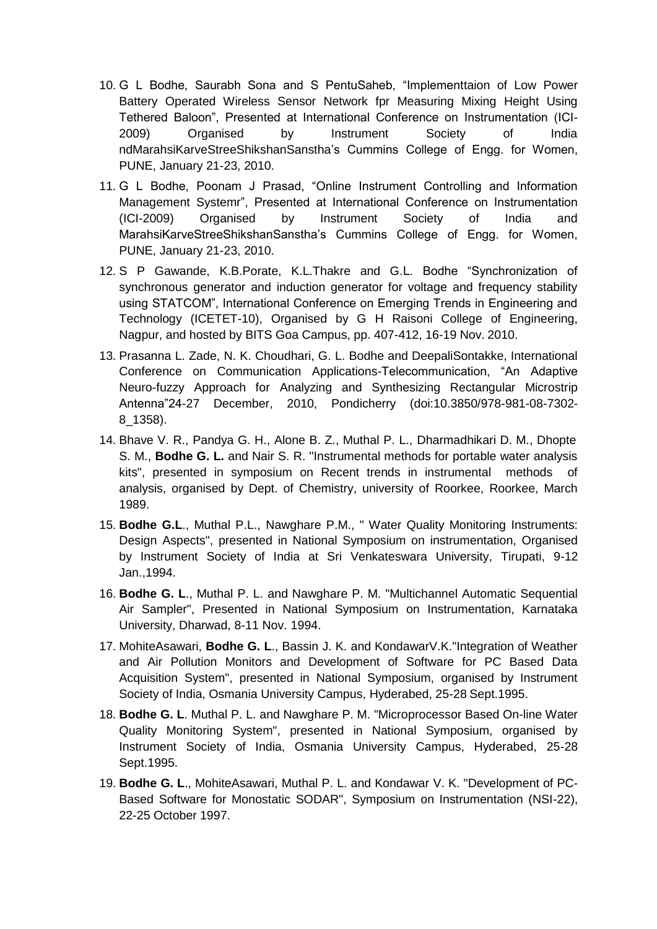- 10. G L Bodhe, Saurabh Sona and S PentuSaheb, "Implementtaion of Low Power Battery Operated Wireless Sensor Network fpr Measuring Mixing Height Using Tethered Baloon", Presented at International Conference on Instrumentation (ICI-2009) Organised by Instrument Society of India ndMarahsiKarveStreeShikshanSanstha's Cummins College of Engg. for Women, PUNE, January 21-23, 2010.
- 11. G L Bodhe, Poonam J Prasad, "Online Instrument Controlling and Information Management Systemr", Presented at International Conference on Instrumentation (ICI-2009) Organised by Instrument Society of India and MarahsiKarveStreeShikshanSanstha's Cummins College of Engg. for Women, PUNE, January 21-23, 2010.
- 12. S P Gawande, K.B.Porate, K.L.Thakre and G.L. Bodhe "Synchronization of synchronous generator and induction generator for voltage and frequency stability using STATCOM", International Conference on Emerging Trends in Engineering and Technology (ICETET-10), Organised by G H Raisoni College of Engineering, Nagpur, and hosted by BITS Goa Campus, pp. 407-412, 16-19 Nov. 2010.
- 13. Prasanna L. Zade, N. K. Choudhari, G. L. Bodhe and DeepaliSontakke, International Conference on Communication Applications-Telecommunication, "An Adaptive Neuro-fuzzy Approach for Analyzing and Synthesizing Rectangular Microstrip Antenna"24-27 December, 2010, Pondicherry (doi:10.3850/978-981-08-7302- 8\_1358).
- 14. Bhave V. R., Pandya G. H., Alone B. Z., Muthal P. L., Dharmadhikari D. M., Dhopte S. M., **Bodhe G. L.** and Nair S. R. "Instrumental methods for portable water analysis kits", presented in symposium on Recent trends in instrumental methods of analysis, organised by Dept. of Chemistry, university of Roorkee, Roorkee, March 1989.
- 15. **Bodhe G.L**., Muthal P.L., Nawghare P.M., " Water Quality Monitoring Instruments: Design Aspects", presented in National Symposium on instrumentation, Organised by Instrument Society of India at Sri Venkateswara University, Tirupati, 9-12 Jan.,1994.
- 16. **Bodhe G. L**., Muthal P. L. and Nawghare P. M. "Multichannel Automatic Sequential Air Sampler", Presented in National Symposium on Instrumentation, Karnataka University, Dharwad, 8-11 Nov. 1994.
- 17. MohiteAsawari, **Bodhe G. L**., Bassin J. K. and KondawarV.K."Integration of Weather and Air Pollution Monitors and Development of Software for PC Based Data Acquisition System", presented in National Symposium, organised by Instrument Society of India, Osmania University Campus, Hyderabed, 25-28 Sept.1995.
- 18. **Bodhe G. L**. Muthal P. L. and Nawghare P. M. "Microprocessor Based On-line Water Quality Monitoring System", presented in National Symposium, organised by Instrument Society of India, Osmania University Campus, Hyderabed, 25-28 Sept.1995.
- 19. **Bodhe G. L**., MohiteAsawari, Muthal P. L. and Kondawar V. K. "Development of PC-Based Software for Monostatic SODAR", Symposium on Instrumentation (NSI-22), 22-25 October 1997.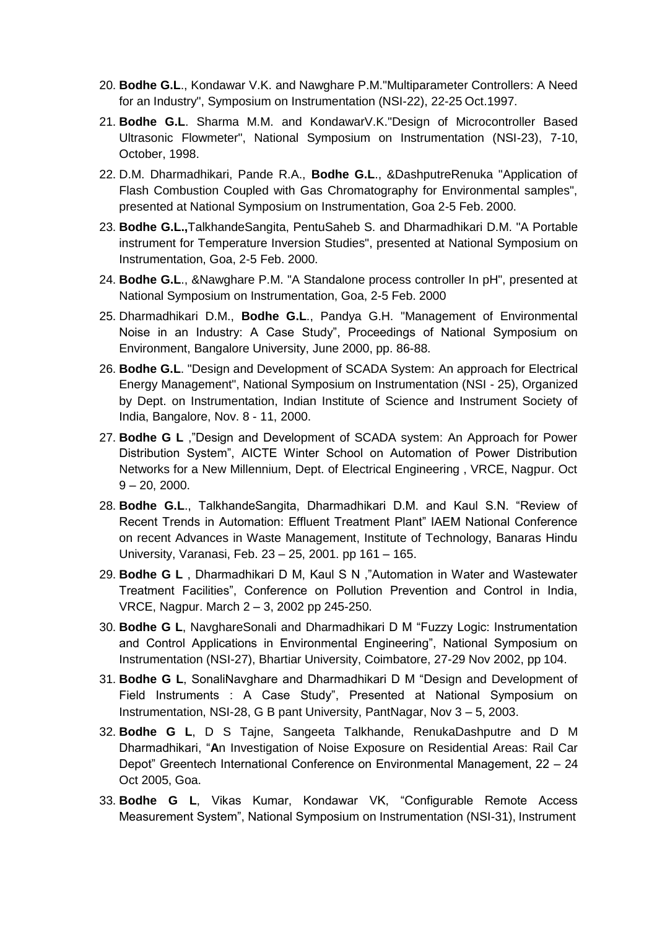- 20. **Bodhe G.L**., Kondawar V.K. and Nawghare P.M."Multiparameter Controllers: A Need for an Industry", Symposium on Instrumentation (NSI-22), 22-25 Oct.1997.
- 21. **Bodhe G.L**. Sharma M.M. and KondawarV.K."Design of Microcontroller Based Ultrasonic Flowmeter", National Symposium on Instrumentation (NSI-23), 7-10, October, 1998.
- 22. D.M. Dharmadhikari, Pande R.A., **Bodhe G.L**., &DashputreRenuka "Application of Flash Combustion Coupled with Gas Chromatography for Environmental samples", presented at National Symposium on Instrumentation, Goa 2-5 Feb. 2000.
- 23. **Bodhe G.L.,**TalkhandeSangita, PentuSaheb S. and Dharmadhikari D.M. "A Portable instrument for Temperature Inversion Studies", presented at National Symposium on Instrumentation, Goa, 2-5 Feb. 2000.
- 24. **Bodhe G.L**., &Nawghare P.M. "A Standalone process controller In pH", presented at National Symposium on Instrumentation, Goa, 2-5 Feb. 2000
- 25. Dharmadhikari D.M., **Bodhe G.L**., Pandya G.H. "Management of Environmental Noise in an Industry: A Case Study", Proceedings of National Symposium on Environment, Bangalore University, June 2000, pp. 86-88.
- 26. **Bodhe G.L**. "Design and Development of SCADA System: An approach for Electrical Energy Management", National Symposium on Instrumentation (NSI - 25), Organized by Dept. on Instrumentation, Indian Institute of Science and Instrument Society of India, Bangalore, Nov. 8 - 11, 2000.
- 27. **Bodhe G L** ,"Design and Development of SCADA system: An Approach for Power Distribution System", AICTE Winter School on Automation of Power Distribution Networks for a New Millennium, Dept. of Electrical Engineering , VRCE, Nagpur. Oct  $9 - 20$ , 2000.
- 28. **Bodhe G.L**., TalkhandeSangita, Dharmadhikari D.M. and Kaul S.N. "Review of Recent Trends in Automation: Effluent Treatment Plant" IAEM National Conference on recent Advances in Waste Management, Institute of Technology, Banaras Hindu University, Varanasi, Feb. 23 – 25, 2001. pp 161 – 165.
- 29. **Bodhe G L** , Dharmadhikari D M, Kaul S N ,"Automation in Water and Wastewater Treatment Facilities", Conference on Pollution Prevention and Control in India, VRCE, Nagpur. March 2 – 3, 2002 pp 245-250.
- 30. **Bodhe G L**, NavghareSonali and Dharmadhikari D M "Fuzzy Logic: Instrumentation and Control Applications in Environmental Engineering", National Symposium on Instrumentation (NSI-27), Bhartiar University, Coimbatore, 27-29 Nov 2002, pp 104.
- 31. **Bodhe G L**, SonaliNavghare and Dharmadhikari D M "Design and Development of Field Instruments : A Case Study", Presented at National Symposium on Instrumentation, NSI-28, G B pant University, PantNagar, Nov 3 – 5, 2003.
- 32. **Bodhe G L**, D S Tajne, Sangeeta Talkhande, RenukaDashputre and D M Dharmadhikari, "**A**n Investigation of Noise Exposure on Residential Areas: Rail Car Depot" Greentech International Conference on Environmental Management, 22 – 24 Oct 2005, Goa.
- 33. **Bodhe G L**, Vikas Kumar, Kondawar VK, "Configurable Remote Access Measurement System", National Symposium on Instrumentation (NSI-31), Instrument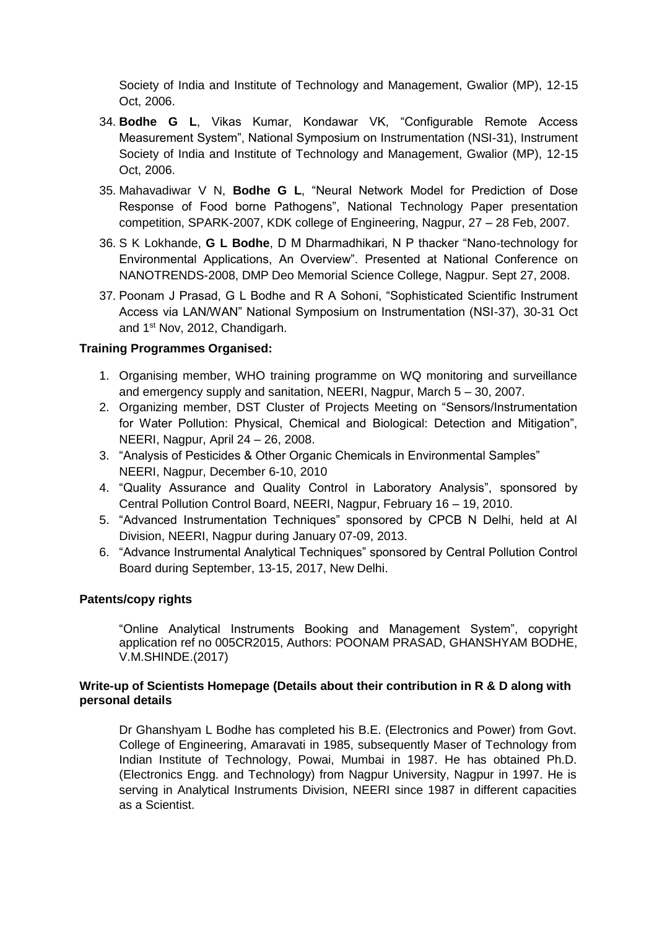Society of India and Institute of Technology and Management, Gwalior (MP), 12-15 Oct, 2006.

- 34. **Bodhe G L**, Vikas Kumar, Kondawar VK, "Configurable Remote Access Measurement System", National Symposium on Instrumentation (NSI-31), Instrument Society of India and Institute of Technology and Management, Gwalior (MP), 12-15 Oct, 2006.
- 35. Mahavadiwar V N, **Bodhe G L**, "Neural Network Model for Prediction of Dose Response of Food borne Pathogens", National Technology Paper presentation competition, SPARK-2007, KDK college of Engineering, Nagpur, 27 – 28 Feb, 2007.
- 36. S K Lokhande, **G L Bodhe**, D M Dharmadhikari, N P thacker "Nano-technology for Environmental Applications, An Overview". Presented at National Conference on NANOTRENDS-2008, DMP Deo Memorial Science College, Nagpur. Sept 27, 2008.
- 37. Poonam J Prasad, G L Bodhe and R A Sohoni, "Sophisticated Scientific Instrument Access via LAN/WAN" National Symposium on Instrumentation (NSI-37), 30-31 Oct and 1st Nov, 2012, Chandigarh.

#### **Training Programmes Organised:**

- 1. Organising member, WHO training programme on WQ monitoring and surveillance and emergency supply and sanitation, NEERI, Nagpur, March 5 – 30, 2007.
- 2. Organizing member, DST Cluster of Projects Meeting on "Sensors/Instrumentation for Water Pollution: Physical, Chemical and Biological: Detection and Mitigation", NEERI, Nagpur, April 24 – 26, 2008.
- 3. "Analysis of Pesticides & Other Organic Chemicals in Environmental Samples" NEERI, Nagpur, December 6-10, 2010
- 4. "Quality Assurance and Quality Control in Laboratory Analysis", sponsored by Central Pollution Control Board, NEERI, Nagpur, February 16 – 19, 2010.
- 5. "Advanced Instrumentation Techniques" sponsored by CPCB N Delhi, held at AI Division, NEERI, Nagpur during January 07-09, 2013.
- 6. "Advance Instrumental Analytical Techniques" sponsored by Central Pollution Control Board during September, 13-15, 2017, New Delhi.

#### **Patents/copy rights**

"Online Analytical Instruments Booking and Management System", copyright application ref no 005CR2015, Authors: POONAM PRASAD, GHANSHYAM BODHE, V.M.SHINDE.(2017)

#### **Write-up of Scientists Homepage (Details about their contribution in R & D along with personal details**

Dr Ghanshyam L Bodhe has completed his B.E. (Electronics and Power) from Govt. College of Engineering, Amaravati in 1985, subsequently Maser of Technology from Indian Institute of Technology, Powai, Mumbai in 1987. He has obtained Ph.D. (Electronics Engg. and Technology) from Nagpur University, Nagpur in 1997. He is serving in Analytical Instruments Division, NEERI since 1987 in different capacities as a Scientist.